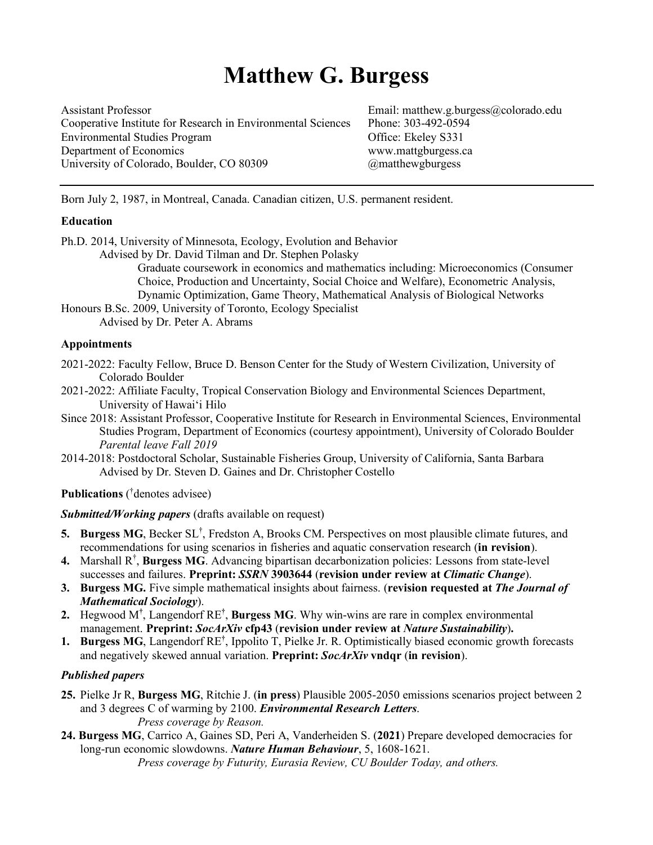# **Matthew G. Burgess**

Assistant Professor<br>Cooperative Institute for Research in Environmental Sciences Phone: 303-492-0594 Cooperative Institute for Research in Environmental Sciences Environmental Studies Program **Office:** Ekeley S331 Department of Economics www.mattgburgess.ca University of Colorado, Boulder, CO 80309 @matthewgburgess

Born July 2, 1987, in Montreal, Canada. Canadian citizen, U.S. permanent resident.

#### **Education**

Ph.D. 2014, University of Minnesota, Ecology, Evolution and Behavior Advised by Dr. David Tilman and Dr. Stephen Polasky

Graduate coursework in economics and mathematics including: Microeconomics (Consumer Choice, Production and Uncertainty, Social Choice and Welfare), Econometric Analysis, Dynamic Optimization, Game Theory, Mathematical Analysis of Biological Networks

Honours B.Sc. 2009, University of Toronto, Ecology Specialist Advised by Dr. Peter A. Abrams

#### **Appointments**

- 2021-2022: Faculty Fellow, Bruce D. Benson Center for the Study of Western Civilization, University of Colorado Boulder
- 2021-2022: Affiliate Faculty, Tropical Conservation Biology and Environmental Sciences Department, University of Hawaiʻi Hilo
- Since 2018: Assistant Professor, Cooperative Institute for Research in Environmental Sciences, Environmental Studies Program, Department of Economics (courtesy appointment), University of Colorado Boulder *Parental leave Fall 2019*
- 2014-2018: Postdoctoral Scholar, Sustainable Fisheries Group, University of California, Santa Barbara Advised by Dr. Steven D. Gaines and Dr. Christopher Costello

**Publications** ( † denotes advisee)

*Submitted/Working papers* (drafts available on request)

- **5. Burgess MG**, Becker SL† , Fredston A, Brooks CM. Perspectives on most plausible climate futures, and recommendations for using scenarios in fisheries and aquatic conservation research (**in revision**).
- 4. Marshall R<sup>†</sup>, **Burgess MG**. Advancing bipartisan decarbonization policies: Lessons from state-level successes and failures. **Preprint:** *SSRN* **3903644** (**revision under review at** *Climatic Change*).
- **3. Burgess MG.** Five simple mathematical insights about fairness. (**revision requested at** *The Journal of Mathematical Sociology*).
- **2.** Hegwood M**†** , Langendorf RE**†** , **Burgess MG**. Why win-wins are rare in complex environmental management. **Preprint:** *SocArXiv* **cfp43** (**revision under review at** *Nature Sustainability*)**.**
- 1. **Burgess MG**, Langendorf RE<sup>†</sup>, Ippolito T, Pielke Jr. R. Optimistically biased economic growth forecasts and negatively skewed annual variation. **Preprint:** *SocArXiv* **vndqr** (**in revision**).

#### *Published papers*

- **25.** Pielke Jr R, **Burgess MG**, Ritchie J. (**in press**) Plausible 2005-2050 emissions scenarios project between 2 and 3 degrees C of warming by 2100. *Environmental Research Letters*. *Press coverage by Reason.*
- **24. Burgess MG**, Carrico A, Gaines SD, Peri A, Vanderheiden S. (**2021**) Prepare developed democracies for long-run economic slowdowns. *Nature Human Behaviour*, 5, 1608-1621. *Press coverage by Futurity, Eurasia Review, CU Boulder Today, and others.*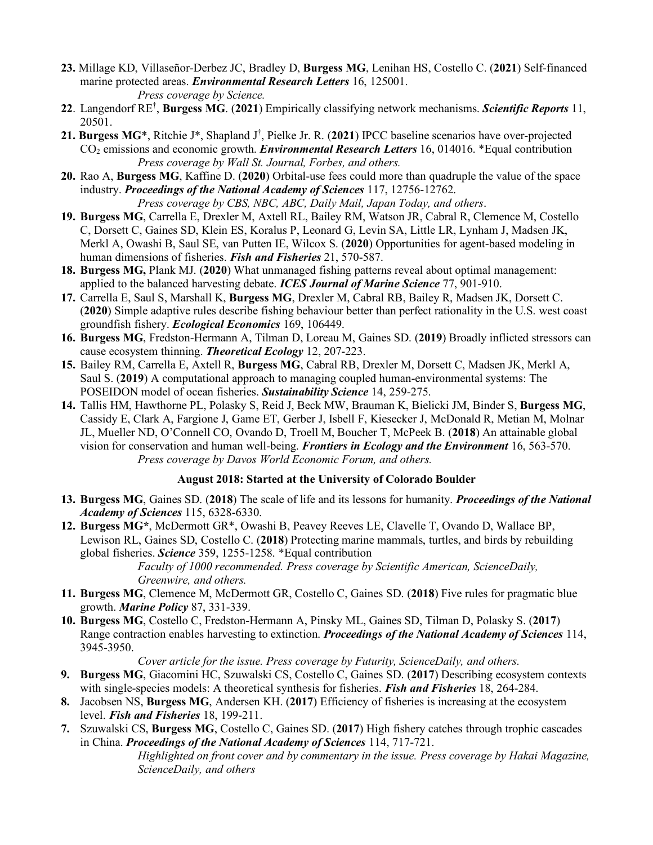- **23.** Millage KD, Villaseñor-Derbez JC, Bradley D, **Burgess MG**, Lenihan HS, Costello C. (**2021**) Self-financed marine protected areas. *Environmental Research Letters* 16, 125001. *Press coverage by Science.*
- **22**. Langendorf RE**†** , **Burgess MG**. (**2021**) Empirically classifying network mechanisms. *Scientific Reports* 11, 20501.
- **21. Burgess MG**\*, Ritchie J\*, Shapland J**†** , Pielke Jr. R. (**2021**) IPCC baseline scenarios have over-projected CO2 emissions and economic growth. *Environmental Research Letters* 16, 014016. \*Equal contribution *Press coverage by Wall St. Journal, Forbes, and others.*
- **20.** Rao A, **Burgess MG**, Kaffine D. (**2020**) Orbital-use fees could more than quadruple the value of the space industry. *Proceedings of the National Academy of Sciences* 117, 12756-12762. *Press coverage by CBS, NBC, ABC, Daily Mail, Japan Today, and others*.
- **19. Burgess MG**, Carrella E, Drexler M, Axtell RL, Bailey RM, Watson JR, Cabral R, Clemence M, Costello C, Dorsett C, Gaines SD, Klein ES, Koralus P, Leonard G, Levin SA, Little LR, Lynham J, Madsen JK, Merkl A, Owashi B, Saul SE, van Putten IE, Wilcox S. (**2020**) Opportunities for agent-based modeling in human dimensions of fisheries. *Fish and Fisheries* 21, 570-587.
- **18. Burgess MG,** Plank MJ. (**2020**) What unmanaged fishing patterns reveal about optimal management: applied to the balanced harvesting debate. *ICES Journal of Marine Science* 77, 901-910.
- **17.** Carrella E, Saul S, Marshall K, **Burgess MG**, Drexler M, Cabral RB, Bailey R, Madsen JK, Dorsett C. (**2020**) Simple adaptive rules describe fishing behaviour better than perfect rationality in the U.S. west coast groundfish fishery. *Ecological Economics* 169, 106449.
- **16. Burgess MG**, Fredston-Hermann A, Tilman D, Loreau M, Gaines SD. (**2019**) Broadly inflicted stressors can cause ecosystem thinning. *Theoretical Ecology* 12, 207-223.
- **15.** Bailey RM, Carrella E, Axtell R, **Burgess MG**, Cabral RB, Drexler M, Dorsett C, Madsen JK, Merkl A, Saul S. (**2019**) A computational approach to managing coupled human-environmental systems: The POSEIDON model of ocean fisheries. *Sustainability Science* 14, 259-275.
- **14.** Tallis HM, Hawthorne PL, Polasky S, Reid J, Beck MW, Brauman K, Bielicki JM, Binder S, **Burgess MG**, Cassidy E, Clark A, Fargione J, Game ET, Gerber J, Isbell F, Kiesecker J, McDonald R, Metian M, Molnar JL, Mueller ND, O'Connell CO, Ovando D, Troell M, Boucher T, McPeek B. (**2018**) An attainable global vision for conservation and human well-being. *Frontiers in Ecology and the Environment* 16, 563-570. *Press coverage by Davos World Economic Forum, and others.*

# **August 2018: Started at the University of Colorado Boulder**

- **13. Burgess MG**, Gaines SD. (**2018**) The scale of life and its lessons for humanity. *Proceedings of the National Academy of Sciences* 115, 6328-6330.
- **12. Burgess MG\***, McDermott GR\*, Owashi B, Peavey Reeves LE, Clavelle T, Ovando D, Wallace BP, Lewison RL, Gaines SD, Costello C. (**2018**) Protecting marine mammals, turtles, and birds by rebuilding global fisheries. *Science* 359, 1255-1258. \*Equal contribution

*Faculty of 1000 recommended. Press coverage by Scientific American, ScienceDaily, Greenwire, and others.*

- **11. Burgess MG**, Clemence M, McDermott GR, Costello C, Gaines SD. (**2018**) Five rules for pragmatic blue growth. *Marine Policy* 87, 331-339.
- **10. Burgess MG**, Costello C, Fredston-Hermann A, Pinsky ML, Gaines SD, Tilman D, Polasky S. (**2017**) Range contraction enables harvesting to extinction. *Proceedings of the National Academy of Sciences* 114, 3945-3950.

*Cover article for the issue. Press coverage by Futurity, ScienceDaily, and others.*

- **9. Burgess MG**, Giacomini HC, Szuwalski CS, Costello C, Gaines SD. (**2017**) Describing ecosystem contexts with single-species models: A theoretical synthesis for fisheries. *Fish and Fisheries* 18, 264-284.
- **8.** Jacobsen NS, **Burgess MG**, Andersen KH. (**2017**) Efficiency of fisheries is increasing at the ecosystem level. *Fish and Fisheries* 18, 199-211.
- **7.** Szuwalski CS, **Burgess MG**, Costello C, Gaines SD. (**2017**) High fishery catches through trophic cascades in China. *Proceedings of the National Academy of Sciences* 114, 717-721.

*Highlighted on front cover and by commentary in the issue. Press coverage by Hakai Magazine, ScienceDaily, and others*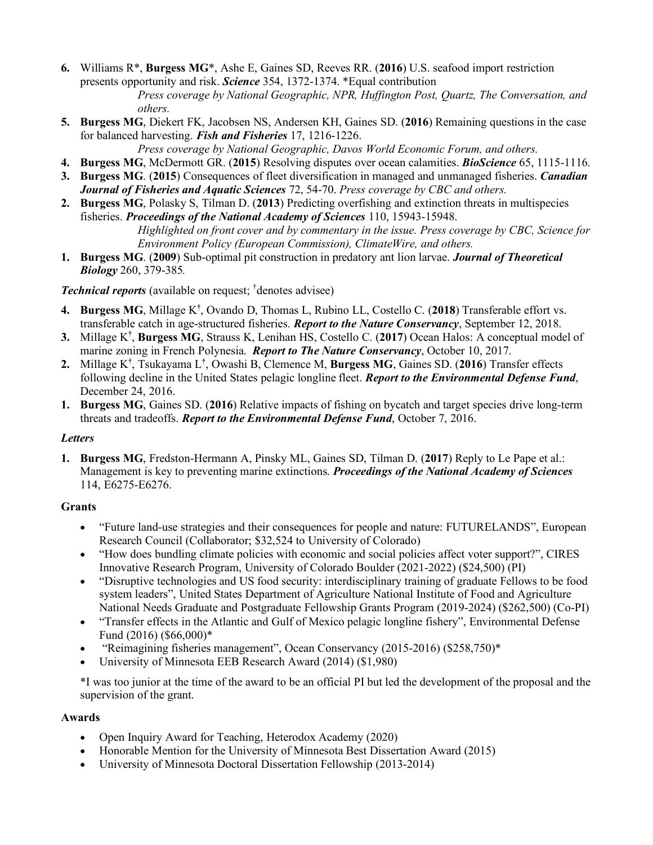- **6.** Williams R\*, **Burgess MG**\*, Ashe E, Gaines SD, Reeves RR. (**2016**) U.S. seafood import restriction presents opportunity and risk. *Science* 354, 1372-1374. \*Equal contribution *Press coverage by National Geographic, NPR, Huffington Post, Quartz, The Conversation, and others.*
- **5. Burgess MG**, Diekert FK, Jacobsen NS, Andersen KH, Gaines SD. (**2016**) Remaining questions in the case for balanced harvesting. *Fish and Fisheries* 17, 1216-1226.

*Press coverage by National Geographic, Davos World Economic Forum, and others.*

- **4. Burgess MG**, McDermott GR. (**2015**) Resolving disputes over ocean calamities. *BioScience* 65, 1115-1116.
- **3. Burgess MG**. (**2015**) Consequences of fleet diversification in managed and unmanaged fisheries. *Canadian Journal of Fisheries and Aquatic Sciences* 72, 54-70. *Press coverage by CBC and others.*
- **2. Burgess MG**, Polasky S, Tilman D. (**2013**) Predicting overfishing and extinction threats in multispecies fisheries. *Proceedings of the National Academy of Sciences* 110, 15943-15948. *Highlighted on front cover and by commentary in the issue. Press coverage by CBC, Science for Environment Policy (European Commission), ClimateWire, and others.*
- **1. Burgess MG**. (**2009**) Sub-optimal pit construction in predatory ant lion larvae. *Journal of Theoretical Biology* 260, 379-385*.*

*Technical reports* (available on request; † denotes advisee)

- **4. Burgess MG**, Millage K**†** , Ovando D, Thomas L, Rubino LL, Costello C. (**2018**) Transferable effort vs. transferable catch in age-structured fisheries. *Report to the Nature Conservancy*, September 12, 2018.
- **3.** Millage K**†** , **Burgess MG**, Strauss K, Lenihan HS, Costello C. (**2017**) Ocean Halos: A conceptual model of marine zoning in French Polynesia. *Report to The Nature Conservancy*, October 10, 2017.
- **2.** Millage K**†** , Tsukayama L**†** , Owashi B, Clemence M, **Burgess MG**, Gaines SD. (**2016**) Transfer effects following decline in the United States pelagic longline fleet. *Report to the Environmental Defense Fund*, December 24, 2016.
- **1. Burgess MG**, Gaines SD. (**2016**) Relative impacts of fishing on bycatch and target species drive long-term threats and tradeoffs. *Report to the Environmental Defense Fund*, October 7, 2016.

# *Letters*

**1. Burgess MG**, Fredston-Hermann A, Pinsky ML, Gaines SD, Tilman D. (**2017**) Reply to Le Pape et al.: Management is key to preventing marine extinctions. *Proceedings of the National Academy of Sciences* 114, E6275-E6276.

# **Grants**

- "Future land-use strategies and their consequences for people and nature: FUTURELANDS", European Research Council (Collaborator; \$32,524 to University of Colorado)
- "How does bundling climate policies with economic and social policies affect voter support?", CIRES Innovative Research Program, University of Colorado Boulder (2021-2022) (\$24,500) (PI)
- "Disruptive technologies and US food security: interdisciplinary training of graduate Fellows to be food system leaders", United States Department of Agriculture National Institute of Food and Agriculture National Needs Graduate and Postgraduate Fellowship Grants Program (2019-2024) (\$262,500) (Co-PI)
- "Transfer effects in the Atlantic and Gulf of Mexico pelagic longline fishery", Environmental Defense Fund (2016) (\$66,000)\*
- "Reimagining fisheries management", Ocean Conservancy (2015-2016) (\$258,750)\*
- University of Minnesota EEB Research Award (2014) (\$1,980)

\*I was too junior at the time of the award to be an official PI but led the development of the proposal and the supervision of the grant.

# **Awards**

- Open Inquiry Award for Teaching, Heterodox Academy (2020)
- Honorable Mention for the University of Minnesota Best Dissertation Award (2015)
- University of Minnesota Doctoral Dissertation Fellowship (2013-2014)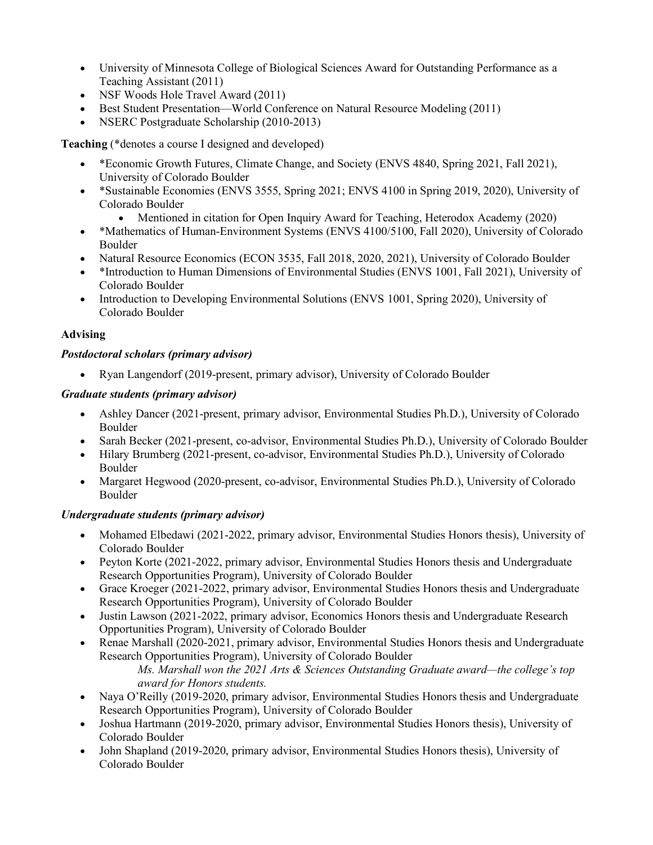- University of Minnesota College of Biological Sciences Award for Outstanding Performance as a Teaching Assistant (2011)
- NSF Woods Hole Travel Award (2011)
- Best Student Presentation—World Conference on Natural Resource Modeling (2011)
- NSERC Postgraduate Scholarship (2010-2013)

**Teaching** (\*denotes a course I designed and developed)

- \*Economic Growth Futures, Climate Change, and Society (ENVS 4840, Spring 2021, Fall 2021), University of Colorado Boulder
- \*Sustainable Economies (ENVS 3555, Spring 2021; ENVS 4100 in Spring 2019, 2020), University of Colorado Boulder
	- Mentioned in citation for Open Inquiry Award for Teaching, Heterodox Academy (2020)
- \*Mathematics of Human-Environment Systems (ENVS 4100/5100, Fall 2020), University of Colorado Boulder
- Natural Resource Economics (ECON 3535, Fall 2018, 2020, 2021), University of Colorado Boulder
- \*Introduction to Human Dimensions of Environmental Studies (ENVS 1001, Fall 2021), University of Colorado Boulder
- Introduction to Developing Environmental Solutions (ENVS 1001, Spring 2020), University of Colorado Boulder

# **Advising**

# *Postdoctoral scholars (primary advisor)*

• Ryan Langendorf (2019-present, primary advisor), University of Colorado Boulder

# *Graduate students (primary advisor)*

- Ashley Dancer (2021-present, primary advisor, Environmental Studies Ph.D.), University of Colorado Boulder
- Sarah Becker (2021-present, co-advisor, Environmental Studies Ph.D.), University of Colorado Boulder
- Hilary Brumberg (2021-present, co-advisor, Environmental Studies Ph.D.), University of Colorado Boulder
- Margaret Hegwood (2020-present, co-advisor, Environmental Studies Ph.D.), University of Colorado Boulder

# *Undergraduate students (primary advisor)*

- Mohamed Elbedawi (2021-2022, primary advisor, Environmental Studies Honors thesis), University of Colorado Boulder
- Peyton Korte (2021-2022, primary advisor, Environmental Studies Honors thesis and Undergraduate Research Opportunities Program), University of Colorado Boulder
- Grace Kroeger (2021-2022, primary advisor, Environmental Studies Honors thesis and Undergraduate Research Opportunities Program), University of Colorado Boulder
- Justin Lawson (2021-2022, primary advisor, Economics Honors thesis and Undergraduate Research Opportunities Program), University of Colorado Boulder
- Renae Marshall (2020-2021, primary advisor, Environmental Studies Honors thesis and Undergraduate Research Opportunities Program), University of Colorado Boulder *Ms. Marshall won the 2021 Arts & Sciences Outstanding Graduate award—the college's top award for Honors students.*
- Naya O'Reilly (2019-2020, primary advisor, Environmental Studies Honors thesis and Undergraduate Research Opportunities Program), University of Colorado Boulder
- Joshua Hartmann (2019-2020, primary advisor, Environmental Studies Honors thesis), University of Colorado Boulder
- John Shapland (2019-2020, primary advisor, Environmental Studies Honors thesis), University of Colorado Boulder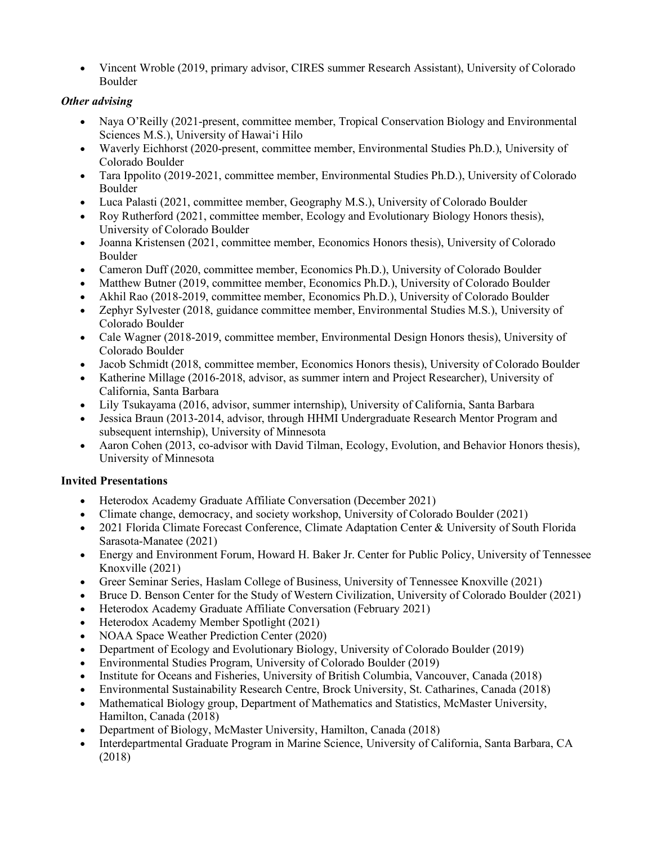• Vincent Wroble (2019, primary advisor, CIRES summer Research Assistant), University of Colorado Boulder

# *Other advising*

- Naya O'Reilly (2021-present, committee member, Tropical Conservation Biology and Environmental Sciences M.S.), University of Hawaiʻi Hilo
- Waverly Eichhorst (2020-present, committee member, Environmental Studies Ph.D.), University of Colorado Boulder
- Tara Ippolito (2019-2021, committee member, Environmental Studies Ph.D.), University of Colorado Boulder
- Luca Palasti (2021, committee member, Geography M.S.), University of Colorado Boulder
- Roy Rutherford (2021, committee member, Ecology and Evolutionary Biology Honors thesis), University of Colorado Boulder
- Joanna Kristensen (2021, committee member, Economics Honors thesis), University of Colorado Boulder
- Cameron Duff (2020, committee member, Economics Ph.D.), University of Colorado Boulder
- Matthew Butner (2019, committee member, Economics Ph.D.), University of Colorado Boulder
- Akhil Rao (2018-2019, committee member, Economics Ph.D.), University of Colorado Boulder
- Zephyr Sylvester (2018, guidance committee member, Environmental Studies M.S.), University of Colorado Boulder
- Cale Wagner (2018-2019, committee member, Environmental Design Honors thesis), University of Colorado Boulder
- Jacob Schmidt (2018, committee member, Economics Honors thesis), University of Colorado Boulder
- Katherine Millage (2016-2018, advisor, as summer intern and Project Researcher), University of California, Santa Barbara
- Lily Tsukayama (2016, advisor, summer internship), University of California, Santa Barbara
- Jessica Braun (2013-2014, advisor, through HHMI Undergraduate Research Mentor Program and subsequent internship), University of Minnesota
- Aaron Cohen (2013, co-advisor with David Tilman, Ecology, Evolution, and Behavior Honors thesis), University of Minnesota

# **Invited Presentations**

- Heterodox Academy Graduate Affiliate Conversation (December 2021)
- Climate change, democracy, and society workshop, University of Colorado Boulder (2021)
- 2021 Florida Climate Forecast Conference, Climate Adaptation Center & University of South Florida Sarasota-Manatee (2021)
- Energy and Environment Forum, Howard H. Baker Jr. Center for Public Policy, University of Tennessee Knoxville (2021)
- Greer Seminar Series, Haslam College of Business, University of Tennessee Knoxville (2021)
- Bruce D. Benson Center for the Study of Western Civilization, University of Colorado Boulder (2021)
- Heterodox Academy Graduate Affiliate Conversation (February 2021)
- Heterodox Academy Member Spotlight (2021)
- NOAA Space Weather Prediction Center (2020)
- Department of Ecology and Evolutionary Biology, University of Colorado Boulder (2019)
- Environmental Studies Program, University of Colorado Boulder (2019)
- Institute for Oceans and Fisheries, University of British Columbia, Vancouver, Canada (2018)
- Environmental Sustainability Research Centre, Brock University, St. Catharines, Canada (2018)
- Mathematical Biology group, Department of Mathematics and Statistics, McMaster University, Hamilton, Canada (2018)
- Department of Biology, McMaster University, Hamilton, Canada (2018)
- Interdepartmental Graduate Program in Marine Science, University of California, Santa Barbara, CA (2018)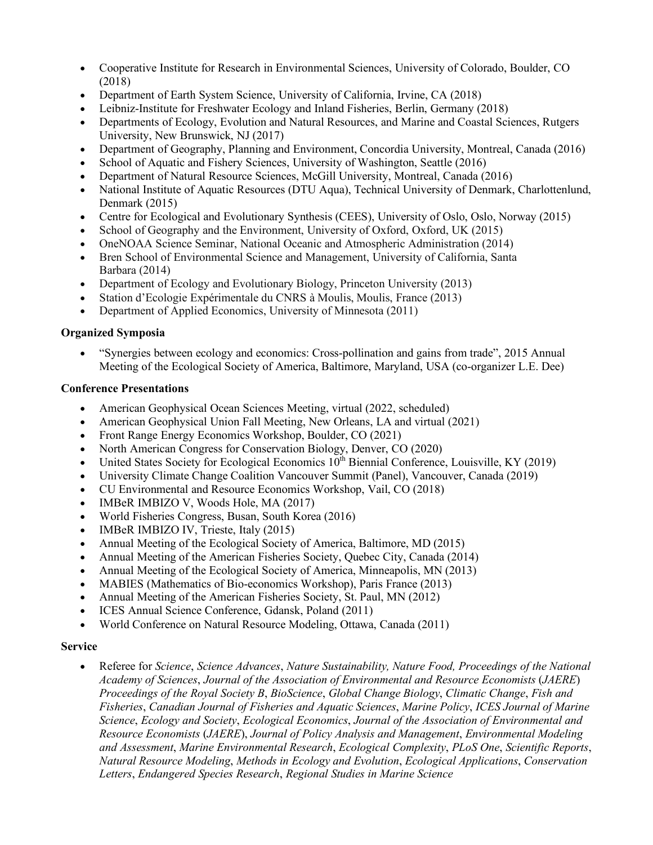- Cooperative Institute for Research in Environmental Sciences, University of Colorado, Boulder, CO (2018)
- Department of Earth System Science, University of California, Irvine, CA (2018)
- Leibniz-Institute for Freshwater Ecology and Inland Fisheries, Berlin, Germany (2018)
- Departments of Ecology, Evolution and Natural Resources, and Marine and Coastal Sciences, Rutgers University, New Brunswick, NJ (2017)
- Department of Geography, Planning and Environment, Concordia University, Montreal, Canada (2016)
- School of Aquatic and Fishery Sciences, University of Washington, Seattle (2016)
- Department of Natural Resource Sciences, McGill University, Montreal, Canada (2016)
- National Institute of Aquatic Resources (DTU Aqua), Technical University of Denmark, Charlottenlund, Denmark (2015)
- Centre for Ecological and Evolutionary Synthesis (CEES), University of Oslo, Oslo, Norway (2015)
- School of Geography and the Environment, University of Oxford, Oxford, UK (2015)
- OneNOAA Science Seminar, National Oceanic and Atmospheric Administration (2014)
- Bren School of Environmental Science and Management, University of California, Santa Barbara (2014)
- Department of Ecology and Evolutionary Biology, Princeton University (2013)
- Station d'Ecologie Expérimentale du CNRS à Moulis, Moulis, France (2013)
- Department of Applied Economics, University of Minnesota (2011)

# **Organized Symposia**

• "Synergies between ecology and economics: Cross-pollination and gains from trade", 2015 Annual Meeting of the Ecological Society of America, Baltimore, Maryland, USA (co-organizer L.E. Dee)

# **Conference Presentations**

- American Geophysical Ocean Sciences Meeting, virtual (2022, scheduled)
- American Geophysical Union Fall Meeting, New Orleans, LA and virtual (2021)
- Front Range Energy Economics Workshop, Boulder, CO (2021)
- North American Congress for Conservation Biology, Denver, CO (2020)
- United States Society for Ecological Economics  $10^{th}$  Biennial Conference, Louisville, KY (2019)
- University Climate Change Coalition Vancouver Summit (Panel), Vancouver, Canada (2019)
- CU Environmental and Resource Economics Workshop, Vail, CO (2018)
- IMBeR IMBIZO V, Woods Hole, MA (2017)
- World Fisheries Congress, Busan, South Korea (2016)
- IMBeR IMBIZO IV, Trieste, Italy (2015)
- Annual Meeting of the Ecological Society of America, Baltimore, MD (2015)
- Annual Meeting of the American Fisheries Society, Quebec City, Canada (2014)
- Annual Meeting of the Ecological Society of America, Minneapolis, MN (2013)
- MABIES (Mathematics of Bio-economics Workshop), Paris France (2013)
- Annual Meeting of the American Fisheries Society, St. Paul, MN (2012)
- ICES Annual Science Conference, Gdansk, Poland (2011)
- World Conference on Natural Resource Modeling, Ottawa, Canada (2011)

# **Service**

• Referee for *Science*, *Science Advances*, *Nature Sustainability, Nature Food, Proceedings of the National Academy of Sciences*, *Journal of the Association of Environmental and Resource Economists* (*JAERE*) *Proceedings of the Royal Society B*, *BioScience*, *Global Change Biology*, *Climatic Change*, *Fish and Fisheries*, *Canadian Journal of Fisheries and Aquatic Sciences*, *Marine Policy*, *ICES Journal of Marine Science*, *Ecology and Society*, *Ecological Economics*, *Journal of the Association of Environmental and Resource Economists* (*JAERE*), *Journal of Policy Analysis and Management*, *Environmental Modeling and Assessment*, *Marine Environmental Research*, *Ecological Complexity*, *PLoS One*, *Scientific Reports*, *Natural Resource Modeling*, *Methods in Ecology and Evolution*, *Ecological Applications*, *Conservation Letters*, *Endangered Species Research*, *Regional Studies in Marine Science*